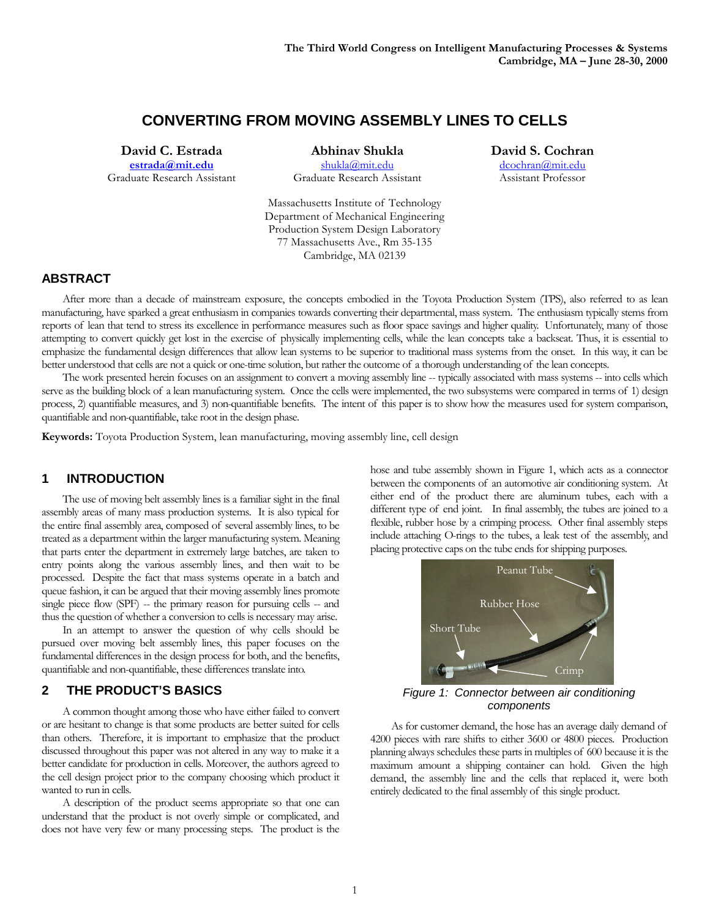# **CONVERTING FROM MOVING ASSEMBLY LINES TO CELLS**

**David C. Estrada estrada@mit.edu**  Graduate Research Assistant

**Abhinav Shukla** shukla@mit.edu Graduate Research Assistant

Massachusetts Institute of Technology Department of Mechanical Engineering Production System Design Laboratory 77 Massachusetts Ave., Rm 35-135 Cambridge, MA 02139

**David S. Cochran** dcochran@mit.edu Assistant Professor

## **ABSTRACT**

After more than a decade of mainstream exposure, the concepts embodied in the Toyota Production System (TPS), also referred to as lean manufacturing, have sparked a great enthusiasm in companies towards converting their departmental, mass system. The enthusiasm typically stems from reports of lean that tend to stress its excellence in performance measures such as floor space savings and higher quality. Unfortunately, many of those attempting to convert quickly get lost in the exercise of physically implementing cells, while the lean concepts take a backseat. Thus, it is essential to emphasize the fundamental design differences that allow lean systems to be superior to traditional mass systems from the onset. In this way, it can be better understood that cells are not a quick or one-time solution, but rather the outcome of a thorough understanding of the lean concepts.

The work presented herein focuses on an assignment to convert a moving assembly line -- typically associated with mass systems -- into cells which serve as the building block of a lean manufacturing system. Once the cells were implemented, the two subsystems were compared in terms of 1) design process, 2) quantifiable measures, and 3) non-quantifiable benefits. The intent of this paper is to show how the measures used for system comparison, quantifiable and non-quantifiable, take root in the design phase.

**Keywords:** Toyota Production System, lean manufacturing, moving assembly line, cell design

## **1 INTRODUCTION**

The use of moving belt assembly lines is a familiar sight in the final assembly areas of many mass production systems. It is also typical for the entire final assembly area, composed of several assembly lines, to be treated as a department within the larger manufacturing system. Meaning that parts enter the department in extremely large batches, are taken to entry points along the various assembly lines, and then wait to be processed. Despite the fact that mass systems operate in a batch and queue fashion, it can be argued that their moving assembly lines promote single piece flow (SPF) -- the primary reason for pursuing cells -- and thus the question of whether a conversion to cells is necessary may arise.

In an attempt to answer the question of why cells should be pursued over moving belt assembly lines, this paper focuses on the fundamental differences in the design process for both, and the benefits, quantifiable and non-quantifiable, these differences translate into.

## **2 THE PRODUCT'S BASICS**

A common thought among those who have either failed to convert or are hesitant to change is that some products are better suited for cells than others. Therefore, it is important to emphasize that the product discussed throughout this paper was not altered in any way to make it a better candidate for production in cells. Moreover, the authors agreed to the cell design project prior to the company choosing which product it wanted to run in cells.

A description of the product seems appropriate so that one can understand that the product is not overly simple or complicated, and does not have very few or many processing steps. The product is the hose and tube assembly shown in Figure 1, which acts as a connector between the components of an automotive air conditioning system. At either end of the product there are aluminum tubes, each with a different type of end joint. In final assembly, the tubes are joined to a flexible, rubber hose by a crimping process. Other final assembly steps include attaching O-rings to the tubes, a leak test of the assembly, and placing protective caps on the tube ends for shipping purposes.



*Figure 1: Connector between air conditioning components*

As for customer demand, the hose has an average daily demand of 4200 pieces with rare shifts to either 3600 or 4800 pieces. Production planning always schedules these parts in multiples of 600 because it is the maximum amount a shipping container can hold. Given the high demand, the assembly line and the cells that replaced it, were both entirely dedicated to the final assembly of this single product.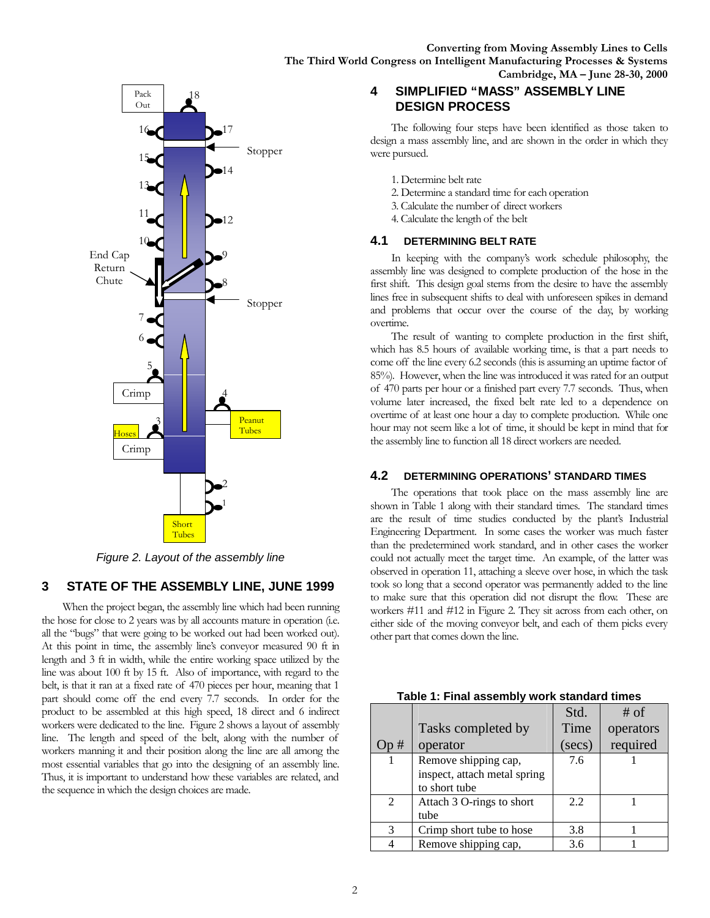

*Figure 2. Layout of the assembly line*

## **3 STATE OF THE ASSEMBLY LINE, JUNE 1999**

When the project began, the assembly line which had been running the hose for close to 2 years was by all accounts mature in operation (i.e. all the "bugs" that were going to be worked out had been worked out). At this point in time, the assembly line's conveyor measured 90 ft in length and 3 ft in width, while the entire working space utilized by the line was about 100 ft by 15 ft. Also of importance, with regard to the belt, is that it ran at a fixed rate of 470 pieces per hour, meaning that 1 part should come off the end every 7.7 seconds. In order for the product to be assembled at this high speed, 18 direct and 6 indirect workers were dedicated to the line. Figure 2 shows a layout of assembly line. The length and speed of the belt, along with the number of workers manning it and their position along the line are all among the most essential variables that go into the designing of an assembly line. Thus, it is important to understand how these variables are related, and the sequence in which the design choices are made.

# **4 SIMPLIFIED "MASS" ASSEMBLY LINE DESIGN PROCESS**

The following four steps have been identified as those taken to design a mass assembly line, and are shown in the order in which they were pursued.

- 1. Determine belt rate
- 2. Determine a standard time for each operation
- 3. Calculate the number of direct workers
- 4. Calculate the length of the belt

### **4.1 DETERMINING BELT RATE**

In keeping with the company's work schedule philosophy, the assembly line was designed to complete production of the hose in the first shift. This design goal stems from the desire to have the assembly lines free in subsequent shifts to deal with unforeseen spikes in demand and problems that occur over the course of the day, by working overtime.

The result of wanting to complete production in the first shift, which has 8.5 hours of available working time, is that a part needs to come off the line every 6.2 seconds (this is assuming an uptime factor of 85%). However, when the line was introduced it was rated for an output of 470 parts per hour or a finished part every 7.7 seconds. Thus, when volume later increased, the fixed belt rate led to a dependence on overtime of at least one hour a day to complete production. While one hour may not seem like a lot of time, it should be kept in mind that for the assembly line to function all 18 direct workers are needed.

#### **4.2 DETERMINING OPERATIONS' STANDARD TIMES**

The operations that took place on the mass assembly line are shown in Table 1 along with their standard times. The standard times are the result of time studies conducted by the plant's Industrial Engineering Department. In some cases the worker was much faster than the predetermined work standard, and in other cases the worker could not actually meet the target time. An example, of the latter was observed in operation 11, attaching a sleeve over hose, in which the task took so long that a second operator was permanently added to the line to make sure that this operation did not disrupt the flow. These are workers #11 and #12 in Figure 2. They sit across from each other, on either side of the moving conveyor belt, and each of them picks every other part that comes down the line.

|               |                              | Std.            | $#$ of    |
|---------------|------------------------------|-----------------|-----------|
|               | Tasks completed by           | Time            | operators |
| p #           | operator                     | $(\text{secs})$ | required  |
|               | Remove shipping cap,         | 7.6             |           |
|               | inspect, attach metal spring |                 |           |
|               | to short tube                |                 |           |
| $\mathcal{L}$ | Attach 3 O-rings to short    | 2.2             |           |
|               | tube                         |                 |           |
| $\mathcal{R}$ | Crimp short tube to hose     | 3.8             |           |
|               | Remove shipping cap,         | 3.6             |           |

#### **Table 1: Final assembly work standard times**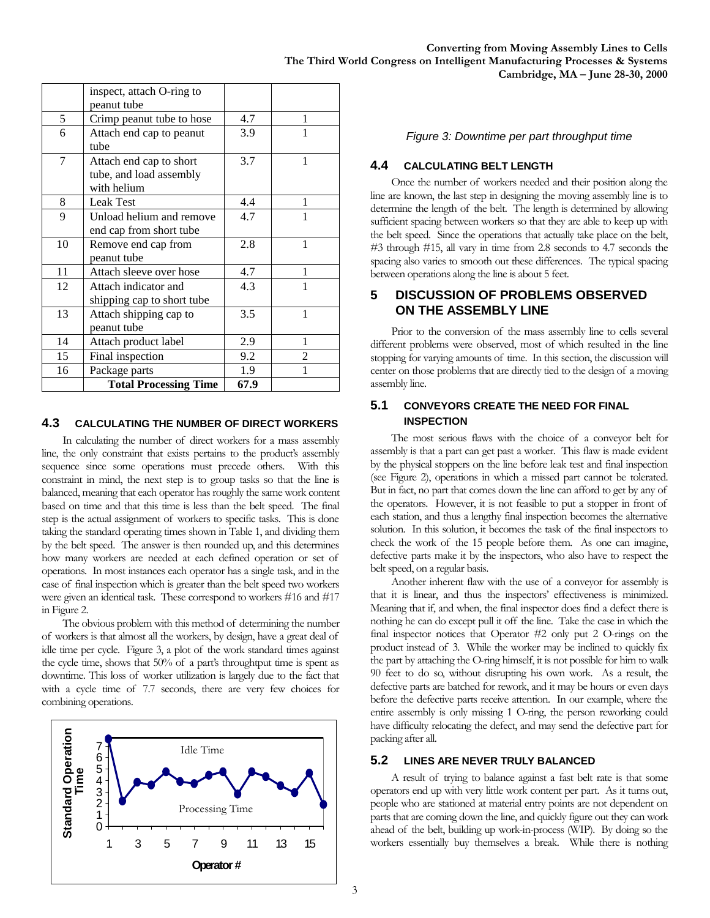|                | inspect, attach O-ring to<br>peanut tube |      |   |
|----------------|------------------------------------------|------|---|
| 5              | Crimp peanut tube to hose                | 4.7  | 1 |
| 6              | Attach end cap to peanut                 | 3.9  | 1 |
|                | tube                                     |      |   |
| $\overline{7}$ | Attach end cap to short                  | 3.7  | 1 |
|                | tube, and load assembly                  |      |   |
|                | with helium                              |      |   |
| 8              | <b>Leak Test</b>                         | 4.4  | 1 |
| 9              | Unload helium and remove                 | 4.7  | 1 |
|                | end cap from short tube                  |      |   |
| 10             | Remove end cap from                      | 2.8  | 1 |
|                | peanut tube                              |      |   |
| 11             | Attach sleeve over hose                  | 4.7  | 1 |
| 12             | Attach indicator and                     | 4.3  | 1 |
|                | shipping cap to short tube               |      |   |
| 13             | Attach shipping cap to                   | 3.5  | 1 |
|                | peanut tube                              |      |   |
| 14             | Attach product label                     | 2.9  | 1 |
| 15             | Final inspection                         | 9.2  | 2 |
| 16             | Package parts                            | 1.9  |   |
|                | <b>Total Processing Time</b>             | 67.9 |   |

## **4.3 CALCULATING THE NUMBER OF DIRECT WORKERS**

In calculating the number of direct workers for a mass assembly line, the only constraint that exists pertains to the product's assembly sequence since some operations must precede others. With this constraint in mind, the next step is to group tasks so that the line is balanced, meaning that each operator has roughly the same work content based on time and that this time is less than the belt speed. The final step is the actual assignment of workers to specific tasks. This is done taking the standard operating times shown in Table 1, and dividing them by the belt speed. The answer is then rounded up, and this determines how many workers are needed at each defined operation or set of operations. In most instances each operator has a single task, and in the case of final inspection which is greater than the belt speed two workers were given an identical task. These correspond to workers #16 and #17 in Figure 2.

The obvious problem with this method of determining the number of workers is that almost all the workers, by design, have a great deal of idle time per cycle. Figure 3, a plot of the work standard times against the cycle time, shows that 50% of a part's throughtput time is spent as downtime. This loss of worker utilization is largely due to the fact that with a cycle time of 7.7 seconds, there are very few choices for combining operations.



### *Figure 3: Downtime per part throughput time*

### **4.4 CALCULATING BELT LENGTH**

Once the number of workers needed and their position along the line are known, the last step in designing the moving assembly line is to determine the length of the belt. The length is determined by allowing sufficient spacing between workers so that they are able to keep up with the belt speed. Since the operations that actually take place on the belt, #3 through #15, all vary in time from 2.8 seconds to 4.7 seconds the spacing also varies to smooth out these differences. The typical spacing between operations along the line is about 5 feet.

# **5 DISCUSSION OF PROBLEMS OBSERVED ON THE ASSEMBLY LINE**

Prior to the conversion of the mass assembly line to cells several different problems were observed, most of which resulted in the line stopping for varying amounts of time. In this section, the discussion will center on those problems that are directly tied to the design of a moving assembly line.

## **5.1 CONVEYORS CREATE THE NEED FOR FINAL INSPECTION**

The most serious flaws with the choice of a conveyor belt for assembly is that a part can get past a worker. This flaw is made evident by the physical stoppers on the line before leak test and final inspection (see Figure 2), operations in which a missed part cannot be tolerated. But in fact, no part that comes down the line can afford to get by any of the operators. However, it is not feasible to put a stopper in front of each station, and thus a lengthy final inspection becomes the alternative solution. In this solution, it becomes the task of the final inspectors to check the work of the 15 people before them. As one can imagine, defective parts make it by the inspectors, who also have to respect the belt speed, on a regular basis.

Another inherent flaw with the use of a conveyor for assembly is that it is linear, and thus the inspectors' effectiveness is minimized. Meaning that if, and when, the final inspector does find a defect there is nothing he can do except pull it off the line. Take the case in which the final inspector notices that Operator #2 only put 2 O-rings on the product instead of 3. While the worker may be inclined to quickly fix the part by attaching the O-ring himself, it is not possible for him to walk 90 feet to do so, without disrupting his own work. As a result, the defective parts are batched for rework, and it may be hours or even days before the defective parts receive attention. In our example, where the entire assembly is only missing 1 O-ring, the person reworking could have difficulty relocating the defect, and may send the defective part for packing after all.

## **5.2 LINES ARE NEVER TRULY BALANCED**

A result of trying to balance against a fast belt rate is that some operators end up with very little work content per part. As it turns out, people who are stationed at material entry points are not dependent on parts that are coming down the line, and quickly figure out they can work ahead of the belt, building up work-in-process (WIP). By doing so the workers essentially buy themselves a break. While there is nothing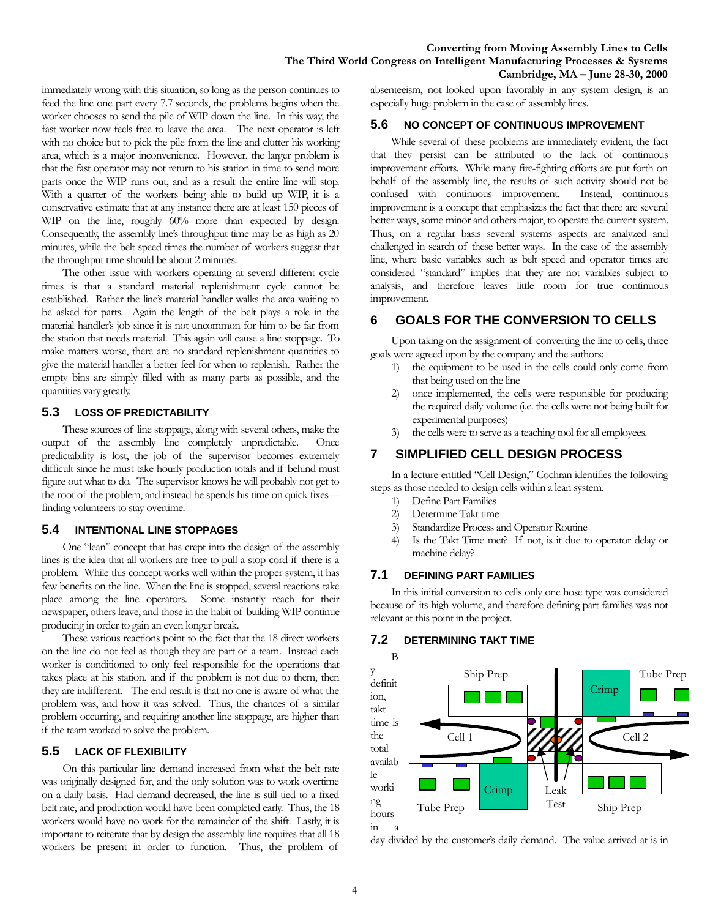immediately wrong with this situation, so long as the person continues to feed the line one part every 7.7 seconds, the problems begins when the worker chooses to send the pile of WIP down the line. In this way, the fast worker now feels free to leave the area. The next operator is left with no choice but to pick the pile from the line and clutter his working area, which is a major inconvenience. However, the larger problem is that the fast operator may not return to his station in time to send more parts once the WIP runs out, and as a result the entire line will stop. With a quarter of the workers being able to build up WIP, it is a conservative estimate that at any instance there are at least 150 pieces of WIP on the line, roughly 60% more than expected by design. Consequently, the assembly line's throughput time may be as high as 20 minutes, while the belt speed times the number of workers suggest that the throughput time should be about 2 minutes.

The other issue with workers operating at several different cycle times is that a standard material replenishment cycle cannot be established. Rather the line's material handler walks the area waiting to be asked for parts. Again the length of the belt plays a role in the material handler's job since it is not uncommon for him to be far from the station that needs material. This again will cause a line stoppage. To make matters worse, there are no standard replenishment quantities to give the material handler a better feel for when to replenish. Rather the empty bins are simply filled with as many parts as possible, and the quantities vary greatly.

### **5.3 LOSS OF PREDICTABILITY**

These sources of line stoppage, along with several others, make the output of the assembly line completely unpredictable. Once predictability is lost, the job of the supervisor becomes extremely difficult since he must take hourly production totals and if behind must figure out what to do. The supervisor knows he will probably not get to the root of the problem, and instead he spends his time on quick fixes finding volunteers to stay overtime.

### **5.4 INTENTIONAL LINE STOPPAGES**

One "lean" concept that has crept into the design of the assembly lines is the idea that all workers are free to pull a stop cord if there is a problem. While this concept works well within the proper system, it has few benefits on the line. When the line is stopped, several reactions take place among the line operators. Some instantly reach for their newspaper, others leave, and those in the habit of building WIP continue producing in order to gain an even longer break.

These various reactions point to the fact that the 18 direct workers on the line do not feel as though they are part of a team. Instead each worker is conditioned to only feel responsible for the operations that takes place at his station, and if the problem is not due to them, then they are indifferent. The end result is that no one is aware of what the problem was, and how it was solved. Thus, the chances of a similar problem occurring, and requiring another line stoppage, are higher than if the team worked to solve the problem.

### **5.5 LACK OF FLEXIBILITY**

On this particular line demand increased from what the belt rate was originally designed for, and the only solution was to work overtime on a daily basis. Had demand decreased, the line is still tied to a fixed belt rate, and production would have been completed early. Thus, the 18 workers would have no work for the remainder of the shift. Lastly, it is important to reiterate that by design the assembly line requires that all 18 workers be present in order to function. Thus, the problem of

absenteeism, not looked upon favorably in any system design, is an especially huge problem in the case of assembly lines.

### **5.6 NO CONCEPT OF CONTINUOUS IMPROVEMENT**

While several of these problems are immediately evident, the fact that they persist can be attributed to the lack of continuous improvement efforts. While many fire-fighting efforts are put forth on behalf of the assembly line, the results of such activity should not be confused with continuous improvement. Instead, continuous improvement is a concept that emphasizes the fact that there are several better ways, some minor and others major, to operate the current system. Thus, on a regular basis several systems aspects are analyzed and challenged in search of these better ways. In the case of the assembly line, where basic variables such as belt speed and operator times are considered "standard" implies that they are not variables subject to analysis, and therefore leaves little room for true continuous improvement.

# **6 GOALS FOR THE CONVERSION TO CELLS**

Upon taking on the assignment of converting the line to cells, three goals were agreed upon by the company and the authors:

- 1) the equipment to be used in the cells could only come from that being used on the line
- 2) once implemented, the cells were responsible for producing the required daily volume (i.e. the cells were not being built for experimental purposes)
- 3) the cells were to serve as a teaching tool for all employees.

## **7 SIMPLIFIED CELL DESIGN PROCESS**

In a lecture entitled "Cell Design," Cochran identifies the following steps as those needed to design cells within a lean system.

- 1) Define Part Families
- 2) Determine Takt time
- 3) Standardize Process and Operator Routine
- 4) Is the Takt Time met? If not, is it due to operator delay or machine delay?

## **7.1 DEFINING PART FAMILIES**

In this initial conversion to cells only one hose type was considered because of its high volume, and therefore defining part families was not relevant at this point in the project.

## **7.2 DETERMINING TAKT TIME**



 $\mathsf{in}$ 

day divided by the customer's daily demand. The value arrived at is in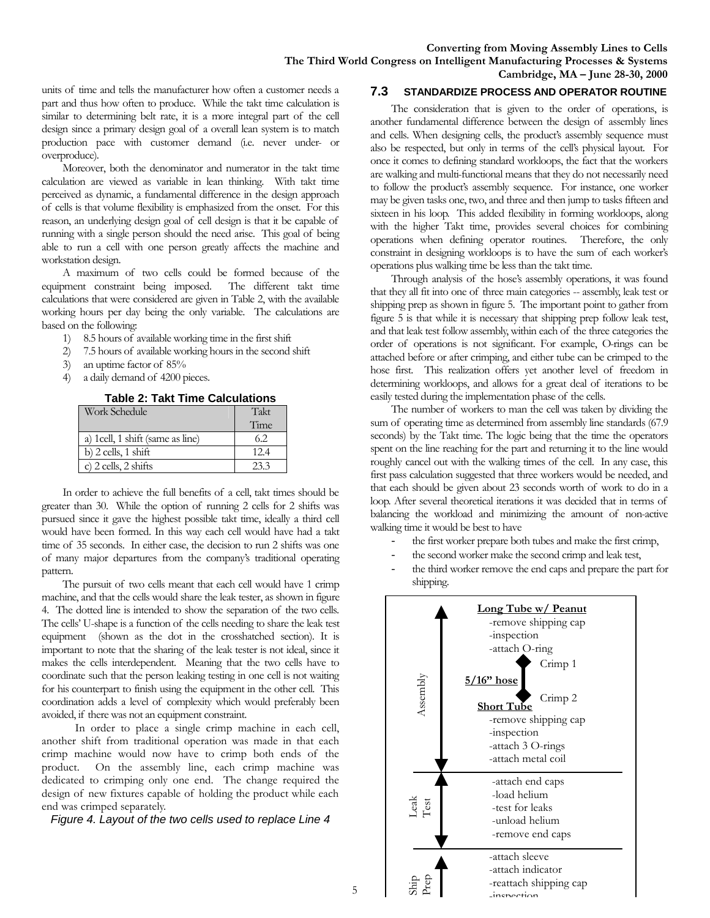units of time and tells the manufacturer how often a customer needs a part and thus how often to produce. While the takt time calculation is similar to determining belt rate, it is a more integral part of the cell design since a primary design goal of a overall lean system is to match production pace with customer demand (i.e. never under- or overproduce).

Moreover, both the denominator and numerator in the takt time calculation are viewed as variable in lean thinking. With takt time perceived as dynamic, a fundamental difference in the design approach of cells is that volume flexibility is emphasized from the onset. For this reason, an underlying design goal of cell design is that it be capable of running with a single person should the need arise. This goal of being able to run a cell with one person greatly affects the machine and workstation design.

A maximum of two cells could be formed because of the equipment constraint being imposed. The different takt time calculations that were considered are given in Table 2, with the available working hours per day being the only variable. The calculations are based on the following:

- 1) 8.5 hours of available working time in the first shift
- 2) 7.5 hours of available working hours in the second shift
- 3) an uptime factor of 85%
- 4) a daily demand of 4200 pieces.

**Table 2: Takt Time Calculations**

| Work Schedule                     | Takt |
|-----------------------------------|------|
|                                   | Time |
| a) 1 cell, 1 shift (same as line) | 6.2  |
| $b)$ 2 cells, 1 shift             | 12.4 |
| c) $2$ cells, $2$ shifts          | 23.3 |

In order to achieve the full benefits of a cell, takt times should be greater than 30. While the option of running 2 cells for 2 shifts was pursued since it gave the highest possible takt time, ideally a third cell would have been formed. In this way each cell would have had a takt time of 35 seconds. In either case, the decision to run 2 shifts was one of many major departures from the company's traditional operating pattern.

The pursuit of two cells meant that each cell would have 1 crimp machine, and that the cells would share the leak tester, as shown in figure 4. The dotted line is intended to show the separation of the two cells. The cells' U-shape is a function of the cells needing to share the leak test equipment (shown as the dot in the crosshatched section). It is important to note that the sharing of the leak tester is not ideal, since it makes the cells interdependent. Meaning that the two cells have to coordinate such that the person leaking testing in one cell is not waiting for his counterpart to finish using the equipment in the other cell. This coordination adds a level of complexity which would preferably been avoided, if there was not an equipment constraint.

In order to place a single crimp machine in each cell, another shift from traditional operation was made in that each crimp machine would now have to crimp both ends of the product. On the assembly line, each crimp machine was dedicated to crimping only one end. The change required the design of new fixtures capable of holding the product while each end was crimped separately.

*Figure 4. Layout of the two cells used to replace Line 4*

#### **7.3 STANDARDIZE PROCESS AND OPERATOR ROUTINE**

The consideration that is given to the order of operations, is another fundamental difference between the design of assembly lines and cells. When designing cells, the product's assembly sequence must also be respected, but only in terms of the cell's physical layout. For once it comes to defining standard workloops, the fact that the workers are walking and multi-functional means that they do not necessarily need to follow the product's assembly sequence. For instance, one worker may be given tasks one, two, and three and then jump to tasks fifteen and sixteen in his loop. This added flexibility in forming workloops, along with the higher Takt time, provides several choices for combining operations when defining operator routines. Therefore, the only constraint in designing workloops is to have the sum of each worker's operations plus walking time be less than the takt time.

Through analysis of the hose's assembly operations, it was found that they all fit into one of three main categories -- assembly, leak test or shipping prep as shown in figure 5. The important point to gather from figure 5 is that while it is necessary that shipping prep follow leak test, and that leak test follow assembly, within each of the three categories the order of operations is not significant. For example, O-rings can be attached before or after crimping, and either tube can be crimped to the hose first. This realization offers yet another level of freedom in determining workloops, and allows for a great deal of iterations to be easily tested during the implementation phase of the cells.

The number of workers to man the cell was taken by dividing the sum of operating time as determined from assembly line standards (67.9 seconds) by the Takt time. The logic being that the time the operators spent on the line reaching for the part and returning it to the line would roughly cancel out with the walking times of the cell. In any case, this first pass calculation suggested that three workers would be needed, and that each should be given about 23 seconds worth of work to do in a loop. After several theoretical iterations it was decided that in terms of balancing the workload and minimizing the amount of non-active walking time it would be best to have

- the first worker prepare both tubes and make the first crimp,
- the second worker make the second crimp and leak test,
- the third worker remove the end caps and prepare the part for shipping.

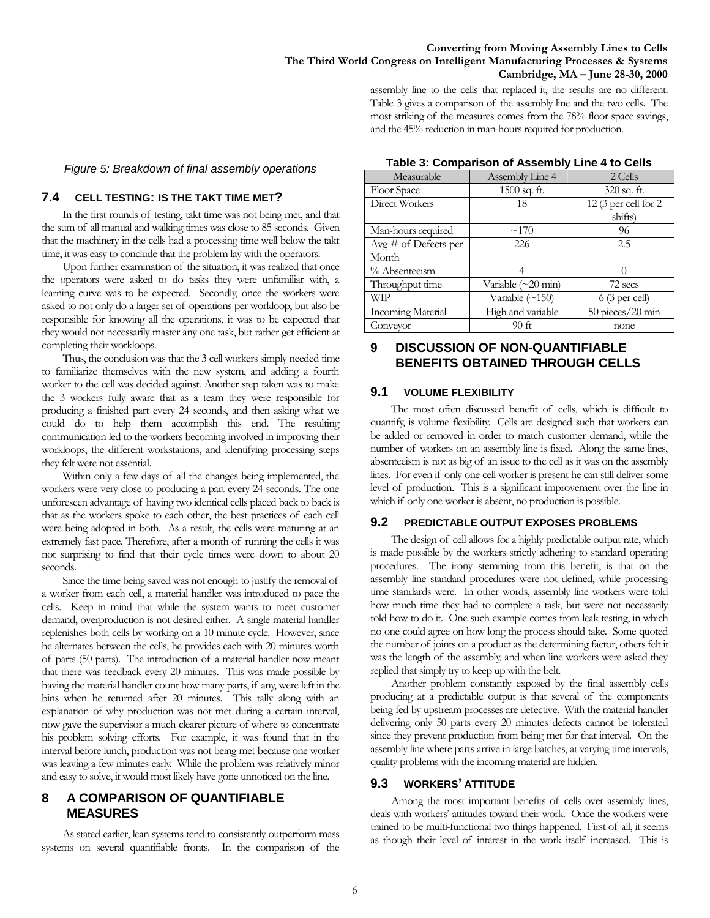assembly line to the cells that replaced it, the results are no different. Table 3 gives a comparison of the assembly line and the two cells. The most striking of the measures comes from the 78% floor space savings, and the 45% reduction in man-hours required for production.

### *Figure 5: Breakdown of final assembly operations*

## **7.4 CELL TESTING: IS THE TAKT TIME MET?**

In the first rounds of testing, takt time was not being met, and that the sum of all manual and walking times was close to 85 seconds. Given that the machinery in the cells had a processing time well below the takt time, it was easy to conclude that the problem lay with the operators.

Upon further examination of the situation, it was realized that once the operators were asked to do tasks they were unfamiliar with, a learning curve was to be expected. Secondly, once the workers were asked to not only do a larger set of operations per workloop, but also be responsible for knowing all the operations, it was to be expected that they would not necessarily master any one task, but rather get efficient at completing their workloops.

Thus, the conclusion was that the 3 cell workers simply needed time to familiarize themselves with the new system, and adding a fourth worker to the cell was decided against. Another step taken was to make the 3 workers fully aware that as a team they were responsible for producing a finished part every 24 seconds, and then asking what we could do to help them accomplish this end. The resulting communication led to the workers becoming involved in improving their workloops, the different workstations, and identifying processing steps they felt were not essential.

Within only a few days of all the changes being implemented, the workers were very close to producing a part every 24 seconds. The one unforeseen advantage of having two identical cells placed back to back is that as the workers spoke to each other, the best practices of each cell were being adopted in both. As a result, the cells were maturing at an extremely fast pace. Therefore, after a month of running the cells it was not surprising to find that their cycle times were down to about 20 seconds.

Since the time being saved was not enough to justify the removal of a worker from each cell, a material handler was introduced to pace the cells. Keep in mind that while the system wants to meet customer demand, overproduction is not desired either. A single material handler replenishes both cells by working on a 10 minute cycle. However, since he alternates between the cells, he provides each with 20 minutes worth of parts (50 parts). The introduction of a material handler now meant that there was feedback every 20 minutes. This was made possible by having the material handler count how many parts, if any, were left in the bins when he returned after 20 minutes. This tally along with an explanation of why production was not met during a certain interval, now gave the supervisor a much clearer picture of where to concentrate his problem solving efforts. For example, it was found that in the interval before lunch, production was not being met because one worker was leaving a few minutes early. While the problem was relatively minor and easy to solve, it would most likely have gone unnoticed on the line.

## **8 A COMPARISON OF QUANTIFIABLE MEASURES**

As stated earlier, lean systems tend to consistently outperform mass systems on several quantifiable fronts. In the comparison of the

| <b>Table 0. Octribariour or Addembry Line + to Ocho</b> |                                 |                       |  |  |  |
|---------------------------------------------------------|---------------------------------|-----------------------|--|--|--|
| Measurable                                              | Assembly Line 4                 | 2 Cells               |  |  |  |
| Floor Space                                             | $1500$ sq. ft.                  | $320$ sq. ft.         |  |  |  |
| Direct Workers                                          | 18                              | 12 (3 per cell for 2  |  |  |  |
|                                                         |                                 | shifts)               |  |  |  |
| Man-hours required                                      | ~170                            | 96                    |  |  |  |
| Avg $#$ of Defects per                                  | 226                             | 2.5                   |  |  |  |
| Month                                                   |                                 |                       |  |  |  |
| $%$ Absenteeism                                         |                                 |                       |  |  |  |
| Throughput time                                         | Variable $(\sim20 \text{ min})$ | 72 secs               |  |  |  |
| WIP                                                     | Variable $(\sim 150)$           | $6(3$ per cell)       |  |  |  |
| <b>Incoming Material</b>                                | High and variable               | $50$ pieces/ $20$ min |  |  |  |
| Conveyor                                                | 90 <sub>ft</sub>                | none                  |  |  |  |

#### **Table 3: Comparison of Assembly Line 4 to Cells**

# **9 DISCUSSION OF NON-QUANTIFIABLE BENEFITS OBTAINED THROUGH CELLS**

#### **9.1 VOLUME FLEXIBILITY**

The most often discussed benefit of cells, which is difficult to quantify, is volume flexibility. Cells are designed such that workers can be added or removed in order to match customer demand, while the number of workers on an assembly line is fixed. Along the same lines, absenteeism is not as big of an issue to the cell as it was on the assembly lines. For even if only one cell worker is present he can still deliver some level of production. This is a significant improvement over the line in which if only one worker is absent, no production is possible.

#### **9.2 PREDICTABLE OUTPUT EXPOSES PROBLEMS**

The design of cell allows for a highly predictable output rate, which is made possible by the workers strictly adhering to standard operating procedures. The irony stemming from this benefit, is that on the assembly line standard procedures were not defined, while processing time standards were. In other words, assembly line workers were told how much time they had to complete a task, but were not necessarily told how to do it. One such example comes from leak testing, in which no one could agree on how long the process should take. Some quoted the number of joints on a product as the determining factor, others felt it was the length of the assembly, and when line workers were asked they replied that simply try to keep up with the belt.

Another problem constantly exposed by the final assembly cells producing at a predictable output is that several of the components being fed by upstream processes are defective. With the material handler delivering only 50 parts every 20 minutes defects cannot be tolerated since they prevent production from being met for that interval. On the assembly line where parts arrive in large batches, at varying time intervals, quality problems with the incoming material are hidden.

#### **9.3 WORKERS' ATTITUDE**

Among the most important benefits of cells over assembly lines, deals with workers' attitudes toward their work. Once the workers were trained to be multi-functional two things happened. First of all, it seems as though their level of interest in the work itself increased. This is